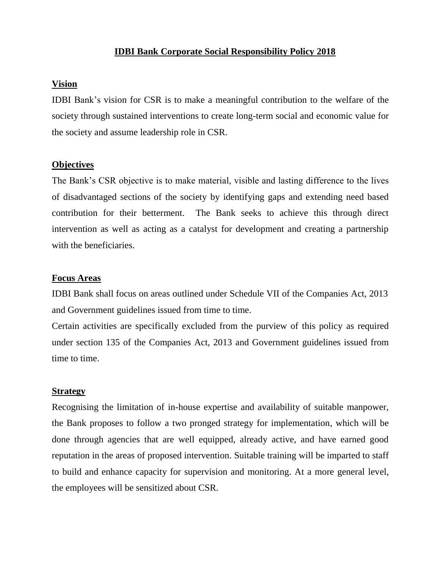#### **IDBI Bank Corporate Social Responsibility Policy 2018**

#### **Vision**

IDBI Bank's vision for CSR is to make a meaningful contribution to the welfare of the society through sustained interventions to create long-term social and economic value for the society and assume leadership role in CSR.

#### **Objectives**

The Bank's CSR objective is to make material, visible and lasting difference to the lives of disadvantaged sections of the society by identifying gaps and extending need based contribution for their betterment. The Bank seeks to achieve this through direct intervention as well as acting as a catalyst for development and creating a partnership with the beneficiaries.

#### **Focus Areas**

IDBI Bank shall focus on areas outlined under Schedule VII of the Companies Act, 2013 and Government guidelines issued from time to time.

Certain activities are specifically excluded from the purview of this policy as required under section 135 of the Companies Act, 2013 and Government guidelines issued from time to time.

#### **Strategy**

Recognising the limitation of in-house expertise and availability of suitable manpower, the Bank proposes to follow a two pronged strategy for implementation, which will be done through agencies that are well equipped, already active, and have earned good reputation in the areas of proposed intervention. Suitable training will be imparted to staff to build and enhance capacity for supervision and monitoring. At a more general level, the employees will be sensitized about CSR.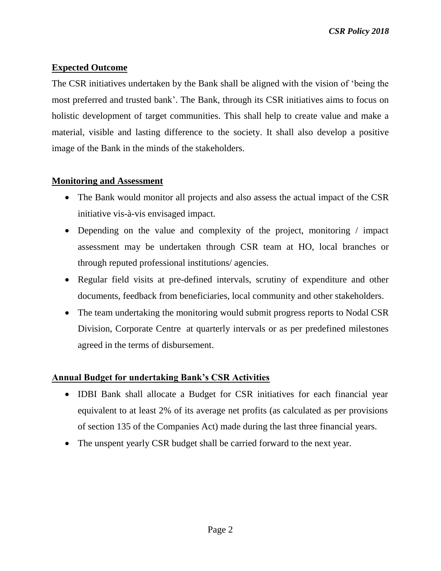# **Expected Outcome**

The CSR initiatives undertaken by the Bank shall be aligned with the vision of 'being the most preferred and trusted bank'. The Bank, through its CSR initiatives aims to focus on holistic development of target communities. This shall help to create value and make a material, visible and lasting difference to the society. It shall also develop a positive image of the Bank in the minds of the stakeholders.

### **Monitoring and Assessment**

- The Bank would monitor all projects and also assess the actual impact of the CSR initiative vis-à-vis envisaged impact.
- Depending on the value and complexity of the project, monitoring / impact assessment may be undertaken through CSR team at HO, local branches or through reputed professional institutions/ agencies.
- Regular field visits at pre-defined intervals, scrutiny of expenditure and other documents, feedback from beneficiaries, local community and other stakeholders.
- The team undertaking the monitoring would submit progress reports to Nodal CSR Division, Corporate Centre at quarterly intervals or as per predefined milestones agreed in the terms of disbursement.

# **Annual Budget for undertaking Bank's CSR Activities**

- IDBI Bank shall allocate a Budget for CSR initiatives for each financial year equivalent to at least 2% of its average net profits (as calculated as per provisions of section 135 of the Companies Act) made during the last three financial years.
- The unspent yearly CSR budget shall be carried forward to the next year.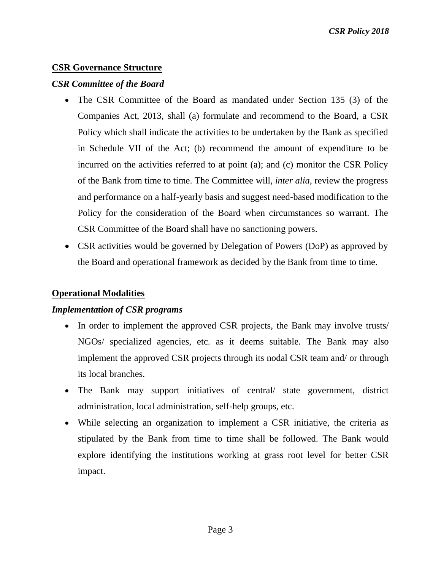### **CSR Governance Structure**

### *CSR Committee of the Board*

- The CSR Committee of the Board as mandated under Section 135 (3) of the Companies Act, 2013, shall (a) formulate and recommend to the Board, a CSR Policy which shall indicate the activities to be undertaken by the Bank as specified in Schedule VII of the Act; (b) recommend the amount of expenditure to be incurred on the activities referred to at point (a); and (c) monitor the CSR Policy of the Bank from time to time. The Committee will, *inter alia*, review the progress and performance on a half-yearly basis and suggest need-based modification to the Policy for the consideration of the Board when circumstances so warrant. The CSR Committee of the Board shall have no sanctioning powers.
- CSR activities would be governed by Delegation of Powers (DoP) as approved by the Board and operational framework as decided by the Bank from time to time.

### **Operational Modalities**

### *Implementation of CSR programs*

- In order to implement the approved CSR projects, the Bank may involve trusts/ NGOs/ specialized agencies, etc. as it deems suitable. The Bank may also implement the approved CSR projects through its nodal CSR team and/ or through its local branches.
- The Bank may support initiatives of central/ state government, district administration, local administration, self-help groups, etc.
- While selecting an organization to implement a CSR initiative, the criteria as stipulated by the Bank from time to time shall be followed. The Bank would explore identifying the institutions working at grass root level for better CSR impact.